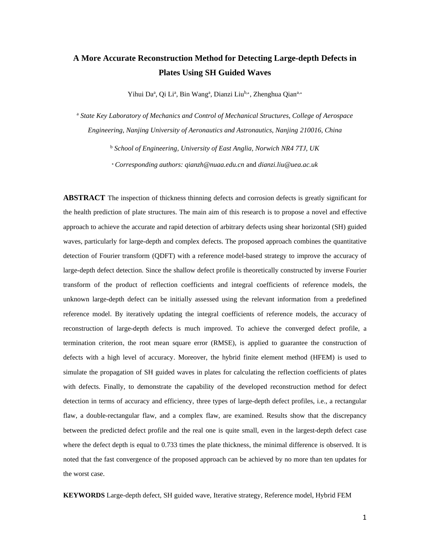# **A More Accurate Reconstruction Method for Detecting Large-depth Defects in Plates Using SH Guided Waves**

Yihui Da<sup>a</sup>, Qi Li<sup>a</sup>, Bin Wang<sup>a</sup>, Dianzi Liu<sup>b,∗</sup>, Zhenghua Qian<sup>a,∗</sup>

<sup>a</sup> *State Key Laboratory of Mechanics and Control of Mechanical Structures, College of Aerospace Engineering, Nanjing University of Aeronautics and Astronautics, Nanjing 210016, China*

> <sup>b</sup> *School of Engineering, University of East Anglia, Norwich NR4 7TJ, UK* <sup>∗</sup>*Corresponding authors: qianzh@nuaa.edu.cn* and *dianzi.liu@uea.ac.uk*

**ABSTRACT** The inspection of thickness thinning defects and corrosion defects is greatly significant for the health prediction of plate structures. The main aim of this research is to propose a novel and effective approach to achieve the accurate and rapid detection of arbitrary defects using shear horizontal (SH) guided waves, particularly for large-depth and complex defects. The proposed approach combines the quantitative detection of Fourier transform (QDFT) with a reference model-based strategy to improve the accuracy of large-depth defect detection. Since the shallow defect profile is theoretically constructed by inverse Fourier transform of the product of reflection coefficients and integral coefficients of reference models, the unknown large-depth defect can be initially assessed using the relevant information from a predefined reference model. By iteratively updating the integral coefficients of reference models, the accuracy of reconstruction of large-depth defects is much improved. To achieve the converged defect profile, a termination criterion, the root mean square error (RMSE), is applied to guarantee the construction of defects with a high level of accuracy. Moreover, the hybrid finite element method (HFEM) is used to simulate the propagation of SH guided waves in plates for calculating the reflection coefficients of plates with defects. Finally, to demonstrate the capability of the developed reconstruction method for defect detection in terms of accuracy and efficiency, three types of large-depth defect profiles, i.e., a rectangular flaw, a double-rectangular flaw, and a complex flaw, are examined. Results show that the discrepancy between the predicted defect profile and the real one is quite small, even in the largest-depth defect case where the defect depth is equal to 0.733 times the plate thickness, the minimal difference is observed. It is noted that the fast convergence of the proposed approach can be achieved by no more than ten updates for the worst case.

**KEYWORDS** Large-depth defect, SH guided wave, Iterative strategy, Reference model, Hybrid FEM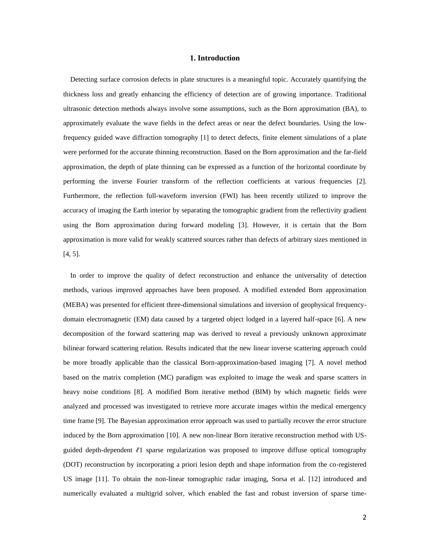## **1. Introduction**

 Detecting surface corrosion defects in plate structures is a meaningful topic. Accurately quantifying the thickness loss and greatly enhancing the efficiency of detection are of growing importance. Traditional ultrasonic detection methods always involve some assumptions, such as the Born approximation (BA), to approximately evaluate the wave fields in the defect areas or near the defect boundaries. Using the lowfrequency guided wave diffraction tomography [1] to detect defects, finite element simulations of a plate were performed for the accurate thinning reconstruction. Based on the Born approximation and the far-field approximation, the depth of plate thinning can be expressed as a function of the horizontal coordinate by performing the inverse Fourier transform of the reflection coefficients at various frequencies [2]. Furthermore, the reflection full-waveform inversion (FWI) has been recently utilized to improve the accuracy of imaging the Earth interior by separating the tomographic gradient from the reflectivity gradient using the Born approximation during forward modeling [3]. However, it is certain that the Born approximation is more valid for weakly scattered sources rather than defects of arbitrary sizes mentioned in [4, 5].

 In order to improve the quality of defect reconstruction and enhance the universality of detection methods, various improved approaches have been proposed. A modified extended Born approximation (MEBA) was presented for efficient three-dimensional simulations and inversion of geophysical frequencydomain electromagnetic (EM) data caused by a targeted object lodged in a layered half-space [6]. A new decomposition of the forward scattering map was derived to reveal a previously unknown approximate bilinear forward scattering relation. Results indicated that the new linear inverse scattering approach could be more broadly applicable than the classical Born-approximation-based imaging [7]. A novel method based on the matrix completion (MC) paradigm was exploited to image the weak and sparse scatters in heavy noise conditions [8]. A modified Born iterative method (BIM) by which magnetic fields were analyzed and processed was investigated to retrieve more accurate images within the medical emergency time frame [9]. The Bayesian approximation error approach was used to partially recover the error structure induced by the Born approximation [10]. A new non-linear Born iterative reconstruction method with USguided depth-dependent  $\ell$ 1 sparse regularization was proposed to improve diffuse optical tomography (DOT) reconstruction by incorporating a priori lesion depth and shape information from the co-registered US image [11]. To obtain the non-linear tomographic radar imaging, Sorsa et al. [12] introduced and numerically evaluated a multigrid solver, which enabled the fast and robust inversion of sparse time-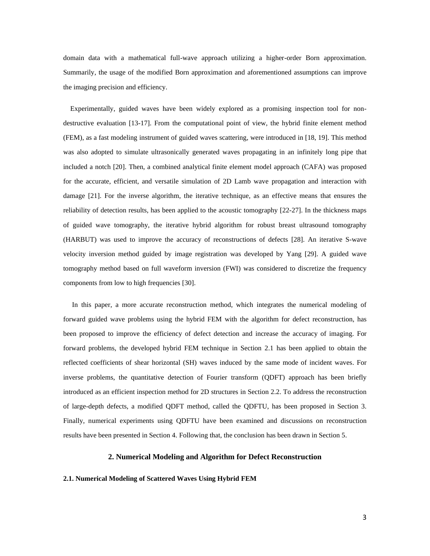domain data with a mathematical full-wave approach utilizing a higher-order Born approximation. Summarily, the usage of the modified Born approximation and aforementioned assumptions can improve the imaging precision and efficiency.

 Experimentally, guided waves have been widely explored as a promising inspection tool for nondestructive evaluation [13-17]. From the computational point of view, the hybrid finite element method (FEM), as a fast modeling instrument of guided waves scattering, were introduced in [18, 19]. This method was also adopted to simulate ultrasonically generated waves propagating in an infinitely long pipe that included a notch [20]. Then, a combined analytical finite element model approach (CAFA) was proposed for the accurate, efficient, and versatile simulation of 2D Lamb wave propagation and interaction with damage [21]. For the inverse algorithm, the iterative technique, as an effective means that ensures the reliability of detection results, has been applied to the acoustic tomography [22-27]. In the thickness maps of guided wave tomography, the iterative hybrid algorithm for robust breast ultrasound tomography (HARBUT) was used to improve the accuracy of reconstructions of defects [28]. An iterative S-wave velocity inversion method guided by image registration was developed by Yang [29]. A guided wave tomography method based on full waveform inversion (FWI) was considered to discretize the frequency components from low to high frequencies [30].

 In this paper, a more accurate reconstruction method, which integrates the numerical modeling of forward guided wave problems using the hybrid FEM with the algorithm for defect reconstruction, has been proposed to improve the efficiency of defect detection and increase the accuracy of imaging. For forward problems, the developed hybrid FEM technique in Section 2.1 has been applied to obtain the reflected coefficients of shear horizontal (SH) waves induced by the same mode of incident waves. For inverse problems, the quantitative detection of Fourier transform (QDFT) approach has been briefly introduced as an efficient inspection method for 2D structures in Section 2.2. To address the reconstruction of large-depth defects, a modified QDFT method, called the QDFTU, has been proposed in Section 3. Finally, numerical experiments using QDFTU have been examined and discussions on reconstruction results have been presented in Section 4. Following that, the conclusion has been drawn in Section 5.

# **2. Numerical Modeling and Algorithm for Defect Reconstruction**

## **2.1. Numerical Modeling of Scattered Waves Using Hybrid FEM**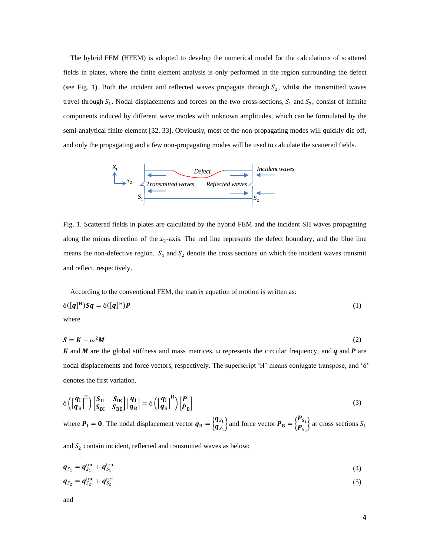The hybrid FEM (HFEM) is adopted to develop the numerical model for the calculations of scattered fields in plates, where the finite element analysis is only performed in the region surrounding the defect (see Fig. 1). Both the incident and reflected waves propagate through  $S_2$ , whilst the transmitted waves travel through  $S_1$ . Nodal displacements and forces on the two cross-sections,  $S_1$  and  $S_2$ , consist of infinite components induced by different wave modes with unknown amplitudes, which can be formulated by the semi-analytical finite element [32, 33]. Obviously, most of the non-propagating modes will quickly die off, and only the propagating and a few non-propagating modes will be used to calculate the scattered fields.



Fig. 1. Scattered fields in plates are calculated by the hybrid FEM and the incident SH waves propagating along the minus direction of the  $x_2$ -axis. The red line represents the defect boundary, and the blue line means the non-defective region.  $S_1$  and  $S_2$  denote the cross sections on which the incident waves transmit and reflect, respectively.

According to the conventional FEM, the matrix equation of motion is written as:

$$
\delta([\mathbf{q}]^{\mathrm{H}})\mathbf{S}\mathbf{q} = \delta([\mathbf{q}]^{\mathrm{H}})\mathbf{P}
$$
 (1)

where

$$
S = K - \omega^2 M \tag{2}
$$

K and M are the global stiffness and mass matrices,  $\omega$  represents the circular frequency, and q and P are nodal displacements and force vectors, respectively. The superscript 'H' means conjugate transpose, and 'δ' denotes the first variation.

$$
\delta\left(\begin{bmatrix} \boldsymbol{q}_1 \\ \boldsymbol{q}_B \end{bmatrix}^H\right) \begin{bmatrix} \boldsymbol{S}_{II} & \boldsymbol{S}_{IB} \\ \boldsymbol{S}_{BI} & \boldsymbol{S}_{BB} \end{bmatrix} \begin{bmatrix} \boldsymbol{q}_1 \\ \boldsymbol{q}_B \end{bmatrix} = \delta\left(\begin{bmatrix} \boldsymbol{q}_1 \\ \boldsymbol{q}_B \end{bmatrix}^H\right) \begin{bmatrix} \boldsymbol{P}_I \\ \boldsymbol{P}_B \end{bmatrix} \tag{3}
$$

where  $P_1 = 0$ . The nodal displacement vector  $q_B = \begin{cases} q_{S_1} \\ q_C \end{cases}$  $\begin{Bmatrix} \mathbf{q}_{S_1} \\ \mathbf{q}_{S_2} \end{Bmatrix}$  and force vector  $\mathbf{P}_{\text{B}} = \begin{Bmatrix} \mathbf{P}_{S_1} \\ \mathbf{P}_{S_2} \end{Bmatrix}$  $\left[\mathbf{P}_{S_2}^{S_1}\right]$  at cross sections  $S_1$ 

and  $S_2$  contain incident, reflected and transmitted waves as below:

$$
\boldsymbol{q}_{S_1} = \boldsymbol{q}_{S_1}^{\text{inc}} + \boldsymbol{q}_{S_1}^{\text{tra}} \tag{4}
$$

$$
\boldsymbol{q}_{S_2} = \boldsymbol{q}_{S_2}^{\text{inc}} + \boldsymbol{q}_{S_2}^{\text{ref}} \tag{5}
$$

and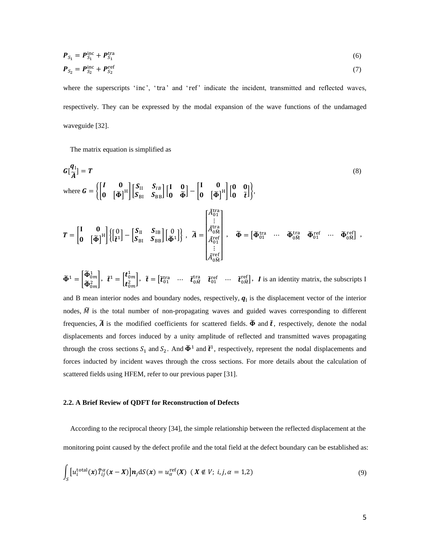$$
P_{S_1} = P_{S_1}^{\text{inc}} + P_{S_1}^{\text{tra}} \tag{6}
$$

$$
\boldsymbol{P}_{S_2} = \boldsymbol{P}_{S_2}^{\text{inc}} + \boldsymbol{P}_{S_2}^{\text{ref}} \tag{7}
$$

where the superscripts 'inc', 'tra' and 'ref' indicate the incident, transmitted and reflected waves, respectively. They can be expressed by the modal expansion of the wave functions of the undamaged waveguide [32].

The matrix equation is simplified as

$$
G[\frac{q_1}{\tilde{A}}] = T
$$
\nwhere  $G = \left\{ \begin{bmatrix} I & 0 \\ 0 & \left[\tilde{\Phi}\right]^{H} \end{bmatrix} \begin{bmatrix} S_{II} & S_{IB} \\ S_{BI} & S_{BB} \end{bmatrix} \begin{bmatrix} I & 0 \\ 0 & \tilde{\Phi} \end{bmatrix} - \begin{bmatrix} I & 0 \\ 0 & \left[\tilde{\Phi}\right]^{H} \end{bmatrix} \begin{bmatrix} 0 & 0 \\ 0 & \tilde{t} \end{bmatrix} \right\},$ \n
$$
T = \begin{bmatrix} I & 0 \\ 0 & \left[\tilde{\Phi}\right]^{H} \end{bmatrix} \left\{ \begin{bmatrix} 0 \\ \tilde{t}^{1} \end{bmatrix} - \begin{bmatrix} S_{II} & S_{IB} \\ S_{BI} & S_{BB} \end{bmatrix} \begin{bmatrix} 0 \\ 0 \\ \tilde{\Phi}^{1} \end{bmatrix} \right\}, \quad \tilde{A} = \begin{bmatrix} \tilde{A}_{01}^{tra} \\ \tilde{A}_{01}^{tra} \\ \tilde{A}_{01}^{ref} \\ \vdots \\ \tilde{A}_{0M}^{ref} \end{bmatrix}, \quad \tilde{\Phi} = \begin{bmatrix} \tilde{\Phi}_{01}^{tra} & \cdots & \tilde{\Phi}_{0M}^{ref} & \cdots & \tilde{\Phi}_{0M}^{ref} \end{bmatrix},
$$
\n(8)

$$
\widetilde{\Phi}^1 = \begin{bmatrix} \widetilde{\Phi}^1_{0m} \\ \widetilde{\Phi}^2_{0m} \end{bmatrix}, \ \ \widetilde{t}^1 = \begin{bmatrix} t^1_{0m} \\ t^2_{0m} \end{bmatrix}, \ \ \widetilde{t} = \begin{bmatrix} \widetilde{t}^{\text{tra}}_{01} & \cdots & \widetilde{t}^{\text{tra}}_{0M} & \widetilde{t}^{\text{ref}}_{01} & \cdots & \widetilde{t}^{\text{ref}}_{0M} \end{bmatrix}, \ \ I \ \text{is an identity matrix, the subscripts I}
$$

and B mean interior nodes and boundary nodes, respectively,  $q_1$  is the displacement vector of the interior nodes,  $\tilde{M}$  is the total number of non-propagating waves and guided waves corresponding to different frequencies,  $\tilde{A}$  is the modified coefficients for scattered fields.  $\tilde{\Phi}$  and  $\tilde{t}$ , respectively, denote the nodal displacements and forces induced by a unity amplitude of reflected and transmitted waves propagating through the cross sections  $S_1$  and  $S_2$ . And  $\tilde{\Phi}^1$  and  $\tilde{t}^1$ , respectively, represent the nodal displacements and forces inducted by incident waves through the cross sections. For more details about the calculation of scattered fields using HFEM, refer to our previous paper [31].

### **2.2. A Brief Review of QDFT for Reconstruction of Defects**

According to the reciprocal theory [34], the simple relationship between the reflected displacement at the monitoring point caused by the defect profile and the total field at the defect boundary can be established as:

$$
\int_{S} \left[ u_i^{\text{total}}(x) \tilde{T}_{ij}^{\alpha}(x-X) \right] n_j \, \mathrm{d}S(x) = u_{\alpha}^{\text{ref}}(X) \, \left( X \notin V; \, i, j, \alpha = 1,2 \right) \tag{9}
$$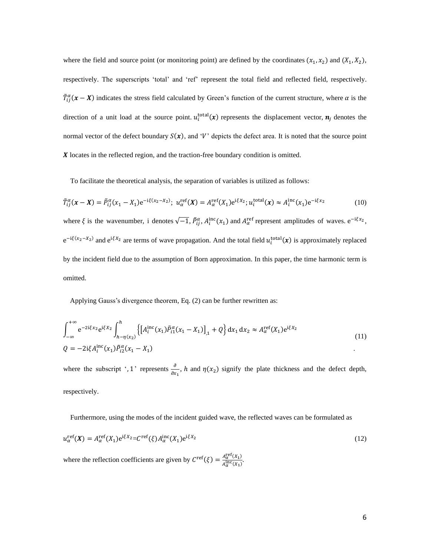where the field and source point (or monitoring point) are defined by the coordinates  $(x_1, x_2)$  and  $(X_1, X_2)$ , respectively. The superscripts 'total' and 'ref' represent the total field and reflected field, respectively.  $\tilde{T}_{ij}^{\alpha}$  ( $x - X$ ) indicates the stress field calculated by Green's function of the current structure, where  $\alpha$  is the direction of a unit load at the source point.  $u_i^{\text{total}}(x)$  represents the displacement vector,  $n_j$  denotes the normal vector of the defect boundary  $S(x)$ , and 'V' depicts the defect area. It is noted that the source point  $X$  locates in the reflected region, and the traction-free boundary condition is omitted.

To facilitate the theoretical analysis, the separation of variables is utilized as follows:

$$
\tilde{T}_{ij}^{\alpha}(x - X) = \tilde{P}_{ij}^{\alpha}(x_1 - X_1)e^{-i\xi(x_2 - X_2)}; \ u_{\alpha}^{\text{ref}}(X) = A_{\alpha}^{\text{ref}}(X_1)e^{i\xi x_2}; u_i^{\text{total}}(x) \approx A_i^{\text{inc}}(x_1)e^{-i\xi x_2}
$$
(10)

where  $\xi$  is the wavenumber, i denotes  $\sqrt{-1}$ ,  $\tilde{P}_{ij}^{\alpha}$ ,  $A_i^{\text{inc}}(x_1)$  and  $A_{\alpha}^{\text{ref}}$  represent amplitudes of waves.  $e^{-i\xi x_2}$ ,  $e^{-i\xi(x_2 - x_2)}$  and  $e^{i\xi x_2}$  are terms of wave propagation. And the total field  $u_i^{\text{total}}(x)$  is approximately replaced by the incident field due to the assumption of Born approximation. In this paper, the time harmonic term is omitted.

Applying Gauss's divergence theorem, Eq. (2) can be further rewritten as:

$$
\int_{-\infty}^{+\infty} e^{-2i\xi x_2} e^{i\xi x_2} \int_{h-\eta(x_2)}^{h} \left\{ \left[ A_i^{\rm inc}(x_1) \tilde{P}_{i1}^{\alpha}(x_1 - X_1) \right]_{,1} + Q \right\} dx_1 dx_2 \approx A_{\alpha}^{\rm ref}(X_1) e^{i\xi X_2}
$$
\n
$$
Q = -2i\xi A_i^{\rm inc}(x_1) \tilde{P}_{i2}^{\alpha}(x_1 - X_1)
$$
\n(11)

where the subscript ', 1' represents  $\frac{\partial}{\partial x}$  $\frac{\partial}{\partial x_1}$ , *h* and  $\eta(x_2)$  signify the plate thickness and the defect depth, respectively.

Furthermore, using the modes of the incident guided wave, the reflected waves can be formulated as

$$
u_{\alpha}^{\text{ref}}(\mathbf{X}) = A_{\alpha}^{\text{ref}}(X_1) e^{i\xi X_2} = C^{\text{ref}}(\xi) A_{\alpha}^{\text{inc}}(X_1) e^{i\xi X_2}
$$
\n(12)

where the reflection coefficients are given by  $C^{\text{ref}}(\xi) = \frac{A_{\alpha}^{\text{ref}}(X_1)}{A_{\alpha}^{\text{ref}}(X_2)}$  $\frac{A_{\alpha}(\lambda_1)}{A_{\alpha}^{\text{inc}}(X_1)}$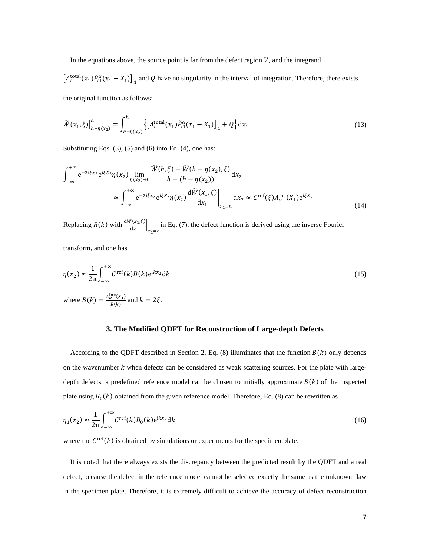In the equations above, the source point is far from the defect region  $V$ , and the integrand

 $[A_i^{\text{total}}(x_1) \tilde{P}_{i1}^{\alpha}(x_1 - X_1)]_{,1}$  and Q have no singularity in the interval of integration. Therefore, there exists the original function as follows:

$$
\widetilde{W}(x_1,\xi)\Big|_{h-\eta(x_2)}^h = \int_{h-\eta(x_2)}^h \{ \left[ A_i^{\text{total}}(x_1) \widetilde{P}_{i1}^\alpha(x_1 - X_1) \right]_{,1} + Q \} \, \mathrm{d}x_1 \tag{13}
$$

Substituting Eqs.  $(3)$ ,  $(5)$  and  $(6)$  into Eq.  $(4)$ , one has:

$$
\int_{-\infty}^{+\infty} e^{-2i\xi x_2} e^{i\xi x_2} \eta(x_2) \lim_{\eta(x_2) \to 0} \frac{\widetilde{W}(h,\xi) - \widetilde{W}(h - \eta(x_2),\xi)}{h - (h - \eta(x_2))} dx_2
$$
  
 
$$
\approx \int_{-\infty}^{+\infty} e^{-2i\xi x_2} e^{i\xi x_2} \eta(x_2) \frac{d\widetilde{W}(x_1,\xi)}{dx_1} \bigg|_{x_1 = h} dx_2 \approx C^{\text{ref}}(\xi) A_{\alpha}^{\text{inc}}(X_1) e^{i\xi X_2}
$$
(14)

Replacing  $R(k)$  with  $\frac{d\widetilde{w}(x_1,\xi)}{dx_1}$  $x_1=h$ in Eq. (7), the defect function is derived using the inverse Fourier

transform, and one has

$$
\eta(x_2) \approx \frac{1}{2\pi} \int_{-\infty}^{+\infty} C^{\text{ref}}(k) B(k) e^{ikx_2} dk
$$
\n(15)

where  $B(k) = \frac{A_{\alpha}^{\text{inc}}(X_1)}{B(k)}$  $\frac{\lambda^{k}}{R(k)}$  and  $k = 2\xi$ .

#### **3. The Modified QDFT for Reconstruction of Large-depth Defects**

According to the QDFT described in Section 2, Eq. (8) illuminates that the function  $B(k)$  only depends on the wavenumber  $k$  when defects can be considered as weak scattering sources. For the plate with largedepth defects, a predefined reference model can be chosen to initially approximate  $B(k)$  of the inspected plate using  $B_0(k)$  obtained from the given reference model. Therefore, Eq. (8) can be rewritten as

$$
\eta_1(x_2) \approx \frac{1}{2\pi} \int_{-\infty}^{+\infty} C^{\text{ref}}(k) B_0(k) e^{ikx_2} dk
$$
\n(16)

where the  $C^{\text{ref}}(k)$  is obtained by simulations or experiments for the specimen plate.

 It is noted that there always exists the discrepancy between the predicted result by the QDFT and a real defect, because the defect in the reference model cannot be selected exactly the same as the unknown flaw in the specimen plate. Therefore, it is extremely difficult to achieve the accuracy of defect reconstruction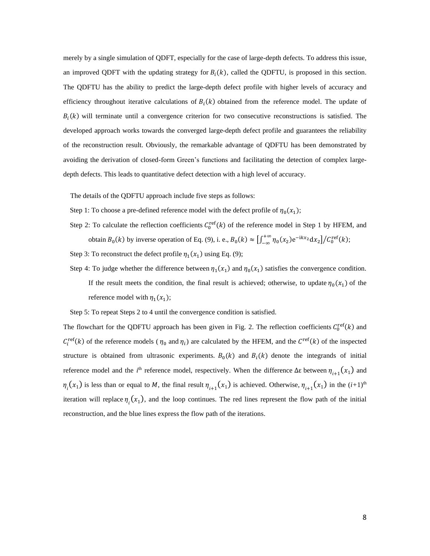merely by a single simulation of QDFT, especially for the case of large-depth defects. To address this issue, an improved QDFT with the updating strategy for  $B_i(k)$ , called the QDFTU, is proposed in this section. The QDFTU has the ability to predict the large-depth defect profile with higher levels of accuracy and efficiency throughout iterative calculations of  $B<sub>i</sub>(k)$  obtained from the reference model. The update of  $B_i(k)$  will terminate until a convergence criterion for two consecutive reconstructions is satisfied. The developed approach works towards the converged large-depth defect profile and guarantees the reliability of the reconstruction result. Obviously, the remarkable advantage of QDFTU has been demonstrated by avoiding the derivation of closed-form Green's functions and facilitating the detection of complex largedepth defects. This leads to quantitative defect detection with a high level of accuracy.

The details of the QDFTU approach include five steps as follows:

- Step 1: To choose a pre-defined reference model with the defect profile of  $\eta_0(x_1)$ ;
- Step 2: To calculate the reflection coefficients  $C_0^{\text{ref}}(k)$  of the reference model in Step 1 by HFEM, and obtain  $B_0(k)$  by inverse operation of Eq. (9), i. e.,  $B_0(k) \approx \left[\int_{-\infty}^{+\infty} \eta_0(x_2) e^{-ikx_2} dx_2\right]$  $\int_{-\infty}^{+\infty} \eta_0(x_2) e^{-ikx_2} dx_2 \big] / C_0^{\text{ref}}(k);$
- Step 3: To reconstruct the defect profile  $\eta_1(x_1)$  using Eq. (9);
- Step 4: To judge whether the difference between  $\eta_1(x_1)$  and  $\eta_0(x_1)$  satisfies the convergence condition. If the result meets the condition, the final result is achieved; otherwise, to update  $\eta_0(x_1)$  of the reference model with  $\eta_1(x_1)$ ;

Step 5: To repeat Steps 2 to 4 until the convergence condition is satisfied.

The flowchart for the QDFTU approach has been given in Fig. 2. The reflection coefficients  $C_0^{\text{ref}}(k)$  and  $C_i^{\text{ref}}(k)$  of the reference models ( $\eta_0$  and  $\eta_i$ ) are calculated by the HFEM, and the  $C^{\text{ref}}(k)$  of the inspected structure is obtained from ultrasonic experiments.  $B_0(k)$  and  $B_i(k)$  denote the integrands of initial reference model and the *i*<sup>th</sup> reference model, respectively. When the difference Δε between  $η_{i+1}(x_1)$  and  $\eta_i(x_1)$  is less than or equal to M, the final result  $\eta_{i+1}(x_1)$  is achieved. Otherwise,  $\eta_{i+1}(x_1)$  in the  $(i+1)$ <sup>th</sup> iteration will replace  $\eta_i(x_1)$ , and the loop continues. The red lines represent the flow path of the initial reconstruction, and the blue lines express the flow path of the iterations.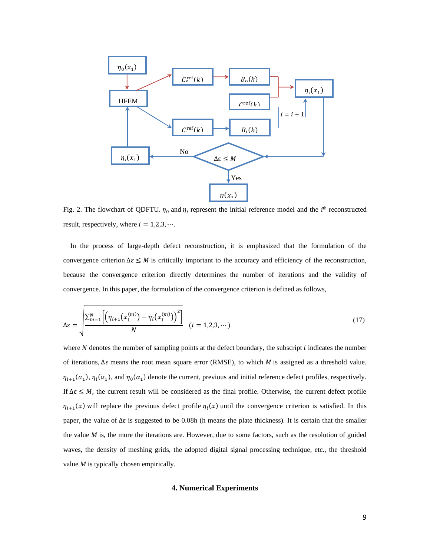

Fig. 2. The flowchart of QDFTU.  $\eta_0$  and  $\eta_i$  represent the initial reference model and the *i*<sup>th</sup> reconstructed result, respectively, where  $i = 1,2,3, \dots$ .

 In the process of large-depth defect reconstruction, it is emphasized that the formulation of the convergence criterion  $\Delta \varepsilon \leq M$  is critically important to the accuracy and efficiency of the reconstruction, because the convergence criterion directly determines the number of iterations and the validity of convergence. In this paper, the formulation of the convergence criterion is defined as follows,

$$
\Delta \varepsilon = \sqrt{\frac{\sum_{m=1}^{N} \left[ \left( \eta_{i+1}(x_1^{(m)}) - \eta_i(x_1^{(m)}) \right)^2 \right]}{N}} \quad (i = 1, 2, 3, \dots) \tag{17}
$$

where  $N$  denotes the number of sampling points at the defect boundary, the subscript  $i$  indicates the number of iterations,  $\Delta \varepsilon$  means the root mean square error (RMSE), to which *M* is assigned as a threshold value.  $\eta_{i+1}(\alpha_1), \eta_i(\alpha_1)$ , and  $\eta_0(\alpha_1)$  denote the current, previous and initial reference defect profiles, respectively. If  $\Delta \varepsilon \leq M$ , the current result will be considered as the final profile. Otherwise, the current defect profile  $\eta_{i+1}(x)$  will replace the previous defect profile  $\eta_i(x)$  until the convergence criterion is satisfied. In this paper, the value of  $\Delta \varepsilon$  is suggested to be 0.08h (h means the plate thickness). It is certain that the smaller the value *M* is, the more the iterations are. However, due to some factors, such as the resolution of guided waves, the density of meshing grids, the adopted digital signal processing technique, etc., the threshold value *M* is typically chosen empirically.

## **4. Numerical Experiments**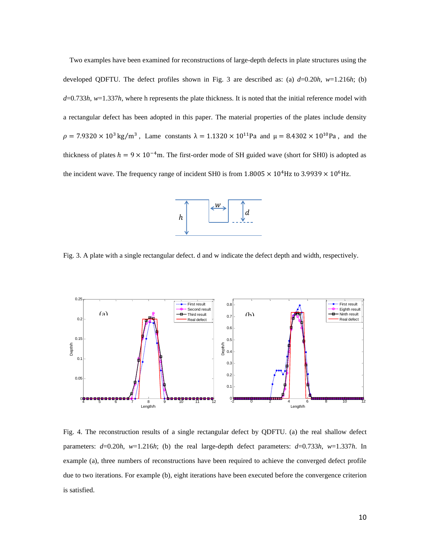Two examples have been examined for reconstructions of large-depth defects in plate structures using the developed QDFTU. The defect profiles shown in Fig. 3 are described as: (a)  $d=0.20h$ ,  $w=1.216h$ ; (b) *d*=0.733*h*, *w*=1.337*h*, where h represents the plate thickness. It is noted that the initial reference model with a rectangular defect has been adopted in this paper. The material properties of the plates include density  $\rho = 7.9320 \times 10^3 \text{ kg/m}^3$ , Lame constants  $\lambda = 1.1320 \times 10^{11}$ Pa and  $\mu = 8.4302 \times 10^{10}$ Pa, and the thickness of plates  $h = 9 \times 10^{-4}$ m. The first-order mode of SH guided wave (short for SH0) is adopted as the incident wave. The frequency range of incident SH0 is from  $1.8005 \times 10^4$  Hz to 3.9939  $\times 10^6$  Hz.



Fig. 3. A plate with a single rectangular defect. d and w indicate the defect depth and width, respectively.



Fig. 4. The reconstruction results of a single rectangular defect by QDFTU. (a) the real shallow defect parameters: *d*=0.20*h*, *w*=1.216*h*; (b) the real large-depth defect parameters: *d*=0.733*h*, *w*=1.337*h*. In example (a), three numbers of reconstructions have been required to achieve the converged defect profile due to two iterations. For example (b), eight iterations have been executed before the convergence criterion is satisfied.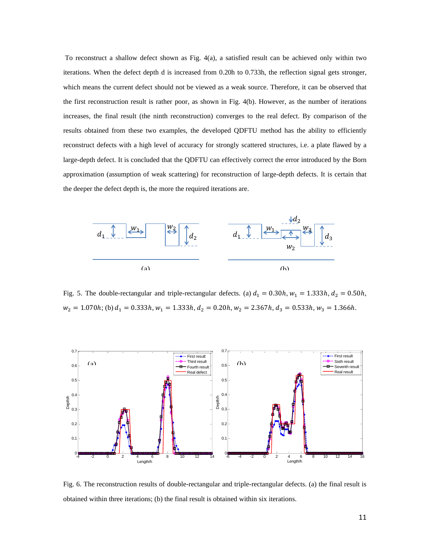To reconstruct a shallow defect shown as Fig. 4(a), a satisfied result can be achieved only within two iterations. When the defect depth d is increased from 0.20h to 0.733h, the reflection signal gets stronger, which means the current defect should not be viewed as a weak source. Therefore, it can be observed that the first reconstruction result is rather poor, as shown in Fig. 4(b). However, as the number of iterations increases, the final result (the ninth reconstruction) converges to the real defect. By comparison of the results obtained from these two examples, the developed QDFTU method has the ability to efficiently reconstruct defects with a high level of accuracy for strongly scattered structures, i.e. a plate flawed by a large-depth defect. It is concluded that the QDFTU can effectively correct the error introduced by the Born approximation (assumption of weak scattering) for reconstruction of large-depth defects. It is certain that the deeper the defect depth is, the more the required iterations are.



Fig. 5. The double-rectangular and triple-rectangular defects. (a)  $d_1 = 0.30h$ ,  $w_1 = 1.333h$ ,  $d_2 = 0.50h$ ,  $w_2 = 1.070h$ ; (b)  $d_1 = 0.333h$ ,  $w_1 = 1.333h$ ,  $d_2 = 0.20h$ ,  $w_2 = 2.367h$ ,  $d_3 = 0.533h$ ,  $w_3 = 1.366h$ .



Fig. 6. The reconstruction results of double-rectangular and triple-rectangular defects. (a) the final result is obtained within three iterations; (b) the final result is obtained within six iterations.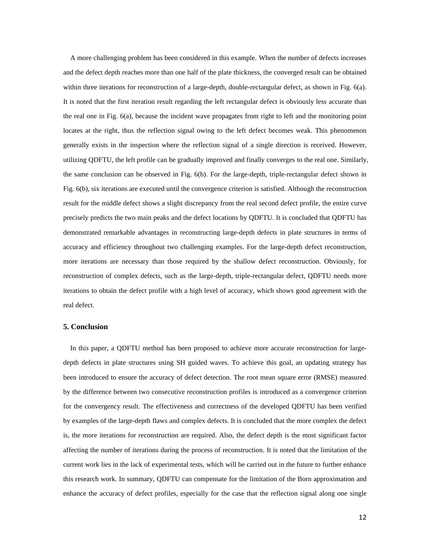A more challenging problem has been considered in this example. When the number of defects increases and the defect depth reaches more than one half of the plate thickness, the converged result can be obtained within three iterations for reconstruction of a large-depth, double-rectangular defect, as shown in Fig. 6(a). It is noted that the first iteration result regarding the left rectangular defect is obviously less accurate than the real one in Fig. 6(a), because the incident wave propagates from right to left and the monitoring point locates at the right, thus the reflection signal owing to the left defect becomes weak. This phenomenon generally exists in the inspection where the reflection signal of a single direction is received. However, utilizing QDFTU, the left profile can be gradually improved and finally converges to the real one. Similarly, the same conclusion can be observed in Fig. 6(b). For the large-depth, triple-rectangular defect shown in Fig. 6(b), six iterations are executed until the convergence criterion is satisfied. Although the reconstruction result for the middle defect shows a slight discrepancy from the real second defect profile, the entire curve precisely predicts the two main peaks and the defect locations by QDFTU. It is concluded that QDFTU has demonstrated remarkable advantages in reconstructing large-depth defects in plate structures in terms of accuracy and efficiency throughout two challenging examples. For the large-depth defect reconstruction, more iterations are necessary than those required by the shallow defect reconstruction. Obviously, for reconstruction of complex defects, such as the large-depth, triple-rectangular defect, QDFTU needs more iterations to obtain the defect profile with a high level of accuracy, which shows good agreement with the real defect.

## **5. Conclusion**

 In this paper, a QDFTU method has been proposed to achieve more accurate reconstruction for largedepth defects in plate structures using SH guided waves. To achieve this goal, an updating strategy has been introduced to ensure the accuracy of defect detection. The root mean square error (RMSE) measured by the difference between two consecutive reconstruction profiles is introduced as a convergence criterion for the convergency result. The effectiveness and correctness of the developed QDFTU has been verified by examples of the large-depth flaws and complex defects. It is concluded that the more complex the defect is, the more iterations for reconstruction are required. Also, the defect depth is the most significant factor affecting the number of iterations during the process of reconstruction. It is noted that the limitation of the current work lies in the lack of experimental tests, which will be carried out in the future to further enhance this research work. In summary, QDFTU can compensate for the limitation of the Born approximation and enhance the accuracy of defect profiles, especially for the case that the reflection signal along one single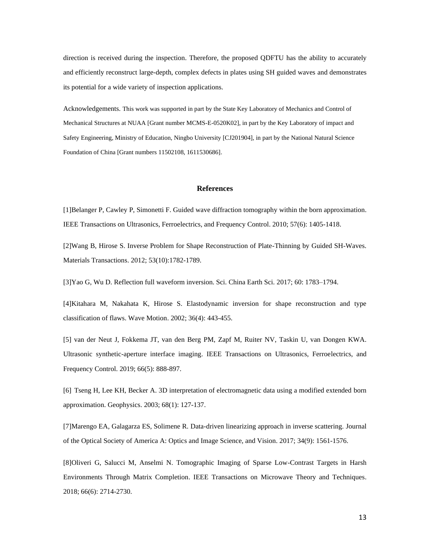direction is received during the inspection. Therefore, the proposed QDFTU has the ability to accurately and efficiently reconstruct large-depth, complex defects in plates using SH guided waves and demonstrates its potential for a wide variety of inspection applications.

Acknowledgements. This work was supported in part by the State Key Laboratory of Mechanics and Control of Mechanical Structures at NUAA [Grant number MCMS-E-0520K02], in part by the Key Laboratory of impact and Safety Engineering, Ministry of Education, Ningbo University [CJ201904], in part by the National Natural Science Foundation of China [Grant numbers 11502108, 1611530686].

## **References**

[1]Belanger P, Cawley P, Simonetti F. Guided wave diffraction tomography within the born approximation. IEEE Transactions on Ultrasonics, Ferroelectrics, and Frequency Control. 2010; 57(6): 1405-1418.

[2]Wang B, Hirose S. Inverse Problem for Shape Reconstruction of Plate-Thinning by Guided SH-Waves. Materials Transactions. 2012; 53(10):1782-1789.

[3]Yao G, Wu D. Reflection full waveform inversion. Sci. China Earth Sci. 2017; 60: 1783–1794.

[4]Kitahara M, Nakahata K, Hirose S. Elastodynamic inversion for shape reconstruction and type classification of flaws. Wave Motion. 2002; 36(4): 443-455.

[5] van der Neut J, Fokkema JT, van den Berg PM, Zapf M, Ruiter NV, Taskin U, van Dongen KWA. Ultrasonic synthetic-aperture interface imaging. IEEE Transactions on Ultrasonics, Ferroelectrics, and Frequency Control. 2019; 66(5): 888-897.

[6] Tseng H, Lee KH, Becker A. 3D interpretation of electromagnetic data using a modified extended born approximation. Geophysics. 2003; 68(1): 127-137.

[7]Marengo EA, Galagarza ES, Solimene R. Data-driven linearizing approach in inverse scattering. Journal of the Optical Society of America A: Optics and Image Science, and Vision. 2017; 34(9): 1561-1576.

[8]Oliveri G, Salucci M, Anselmi N. Tomographic Imaging of Sparse Low-Contrast Targets in Harsh Environments Through Matrix Completion. IEEE Transactions on Microwave Theory and Techniques. 2018; 66(6): 2714-2730.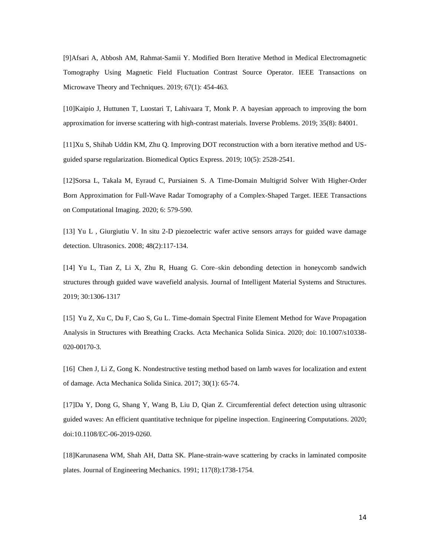[9]Afsari A, Abbosh AM, Rahmat-Samii Y. Modified Born Iterative Method in Medical Electromagnetic Tomography Using Magnetic Field Fluctuation Contrast Source Operator. IEEE Transactions on Microwave Theory and Techniques. 2019; 67(1): 454-463.

[10]Kaipio J, Huttunen T, Luostari T, Lahivaara T, Monk P. A bayesian approach to improving the born approximation for inverse scattering with high-contrast materials. Inverse Problems. 2019; 35(8): 84001.

[11]Xu S, Shihab Uddin KM, Zhu Q. Improving DOT reconstruction with a born iterative method and USguided sparse regularization. Biomedical Optics Express. 2019; 10(5): 2528-2541.

[12]Sorsa L, Takala M, Eyraud C, Pursiainen S. A Time-Domain Multigrid Solver With Higher-Order Born Approximation for Full-Wave Radar Tomography of a Complex-Shaped Target. IEEE Transactions on Computational Imaging. 2020; 6: 579-590.

[13] Yu L , Giurgiutiu V. In situ 2-D piezoelectric wafer active sensors arrays for guided wave damage detection. Ultrasonics. 2008; 48(2):117-134.

[14] Yu L, Tian Z, Li X, Zhu R, Huang G. Core–skin debonding detection in honeycomb sandwich structures through guided wave wavefield analysis. Journal of Intelligent Material Systems and Structures. 2019; 30:1306-1317

[15] Yu Z, Xu C, Du F, Cao S, Gu L. Time-domain Spectral Finite Element Method for Wave Propagation Analysis in Structures with Breathing Cracks. Acta Mechanica Solida Sinica. 2020; doi: 10.1007/s10338- 020-00170-3.

[16] Chen J, Li Z, Gong K. Nondestructive testing method based on lamb waves for localization and extent of damage. Acta Mechanica Solida Sinica. 2017; 30(1): 65-74.

[17]Da Y, Dong G, Shang Y, Wang B, Liu D, Qian Z. Circumferential defect detection using ultrasonic guided waves: An efficient quantitative technique for pipeline inspection. Engineering Computations. 2020; doi:10.1108/EC-06-2019-0260.

[18]Karunasena WM, Shah AH, Datta SK. Plane-strain-wave scattering by cracks in laminated composite plates. Journal of Engineering Mechanics. 1991; 117(8):1738-1754.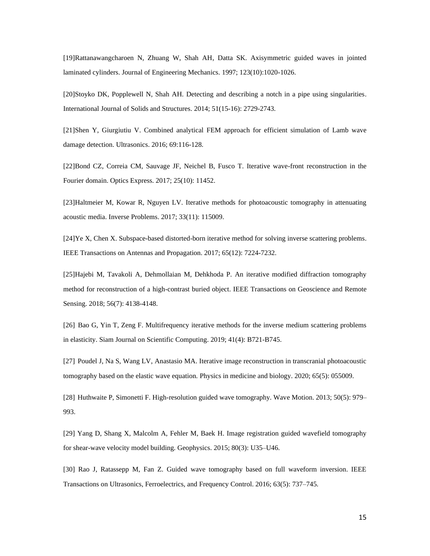[19]Rattanawangcharoen N, Zhuang W, Shah AH, Datta SK. Axisymmetric guided waves in jointed laminated cylinders. Journal of Engineering Mechanics. 1997; 123(10):1020-1026.

[20]Stoyko DK, Popplewell N, Shah AH. Detecting and describing a notch in a pipe using singularities. International Journal of Solids and Structures. 2014; 51(15-16): 2729-2743.

[21]Shen Y, Giurgiutiu V. Combined analytical FEM approach for efficient simulation of Lamb wave damage detection. Ultrasonics. 2016; 69:116-128.

[22]Bond CZ, Correia CM, Sauvage JF, Neichel B, Fusco T. Iterative wave-front reconstruction in the Fourier domain. Optics Express. 2017; 25(10): 11452.

[23]Haltmeier M, Kowar R, Nguyen LV. Iterative methods for photoacoustic tomography in attenuating acoustic media. Inverse Problems. 2017; 33(11): 115009.

[24]Ye X, Chen X. Subspace-based distorted-born iterative method for solving inverse scattering problems. IEEE Transactions on Antennas and Propagation. 2017; 65(12): 7224-7232.

[25]Hajebi M, Tavakoli A, Dehmollaian M, Dehkhoda P. An iterative modified diffraction tomography method for reconstruction of a high-contrast buried object. IEEE Transactions on Geoscience and Remote Sensing. 2018; 56(7): 4138-4148.

[26] Bao G, Yin T, Zeng F. Multifrequency iterative methods for the inverse medium scattering problems in elasticity. Siam Journal on Scientific Computing. 2019; 41(4): B721-B745.

[27] Poudel J, Na S, Wang LV, Anastasio MA. Iterative image reconstruction in transcranial photoacoustic tomography based on the elastic wave equation. Physics in medicine and biology. 2020; 65(5): 055009.

[28] Huthwaite P, Simonetti F. High-resolution guided wave tomography. Wave Motion. 2013; 50(5): 979– 993.

[29] Yang D, Shang X, Malcolm A, Fehler M, Baek H. Image registration guided wavefield tomography for shear-wave velocity model building. Geophysics. 2015; 80(3): U35–U46.

[30] Rao J, Ratassepp M, Fan Z. Guided wave tomography based on full waveform inversion. IEEE Transactions on Ultrasonics, Ferroelectrics, and Frequency Control. 2016; 63(5): 737–745.